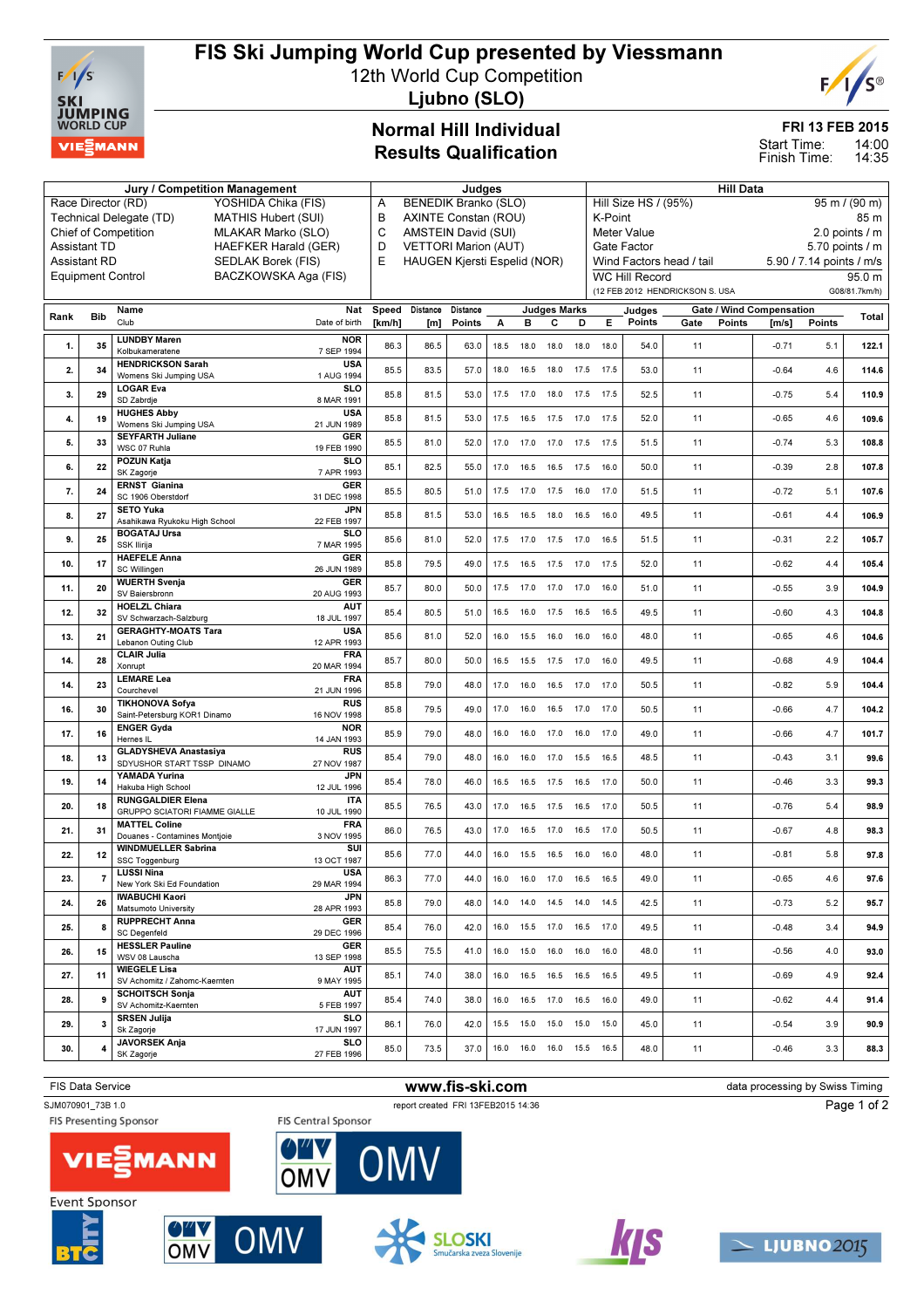

# FIS Ski Jumping World Cup presented by Viessmann

12th World Cup Competition



Ljubno (SLO)

### Normal Hill Individual Results Qualification

### FRI 13 FEB 2015

14:00 Start Time:

### 14:35 Finish Time: Jury / Competition Management **All Data** Judges **Hill Data** Hill Data

|      |                                                                                           | Race Director (RD)<br>YOSHIDA Chika (FIS)<br>Technical Delegate (TD)<br><b>MATHIS Hubert (SUI)</b> | A<br>В                           | BENEDIK Branko (SLO)<br>AXINTE Constan (ROU) |                                                              |      |                              |                     |      |      | Hill Size HS / (95%)<br>K-Point<br>Meter Value |                                 |                                             | $95 \text{ m}$ / $(90 \text{ m})$<br>85 m |               |  |
|------|-------------------------------------------------------------------------------------------|----------------------------------------------------------------------------------------------------|----------------------------------|----------------------------------------------|--------------------------------------------------------------|------|------------------------------|---------------------|------|------|------------------------------------------------|---------------------------------|---------------------------------------------|-------------------------------------------|---------------|--|
|      | <b>Chief of Competition</b><br>MLAKAR Marko (SLO)<br>HAEFKER Harald (GER)<br>Assistant TD |                                                                                                    |                                  |                                              | C<br>AMSTEIN David (SUI)<br><b>VETTORI Marion (AUT)</b><br>D |      |                              |                     |      |      |                                                |                                 | 2.0 points / m                              |                                           |               |  |
|      | <b>Assistant RD</b><br>SEDLAK Borek (FIS)                                                 |                                                                                                    |                                  |                                              | E<br><b>HAUGEN Kjersti Espelid (NOR)</b>                     |      |                              |                     |      |      |                                                | Wind Factors head / tail        | 5.70 points / m<br>5.90 / 7.14 points / m/s |                                           |               |  |
|      |                                                                                           | <b>Equipment Control</b><br>BACZKOWSKA Aga (FIS)                                                   |                                  |                                              |                                                              |      |                              |                     |      |      | <b>WC Hill Record</b>                          |                                 |                                             |                                           | 95.0 m        |  |
|      |                                                                                           |                                                                                                    |                                  |                                              |                                                              |      |                              |                     |      |      |                                                | (12 FEB 2012 HENDRICKSON S. USA |                                             |                                           | G08/81.7km/h) |  |
|      |                                                                                           | Name                                                                                               | Speed<br>Nat                     |                                              | Distance Distance                                            |      |                              | <b>Judges Marks</b> |      |      | Judges                                         | <b>Gate / Wind Compensation</b> |                                             |                                           |               |  |
| Rank | Bib                                                                                       | Club<br>Date of birth                                                                              | [km/h]                           | [m]                                          | Points                                                       | А    | в                            | с                   | D    | Е    | Points                                         | Gate<br>Points                  | $\mathsf{Im/s}$                             | Points                                    | Total         |  |
| 1.   | 35                                                                                        | <b>LUNDBY Maren</b><br>Kolbukameratene<br>7 SEP 1994                                               | <b>NOR</b><br>86.3               | 86.5                                         | 63.0                                                         | 18.5 | 18.0                         | 18.0                | 18.0 | 18.0 | 54.0                                           | 11                              | $-0.71$                                     | 5.1                                       | 122.1         |  |
| 2.   | 34                                                                                        | <b>HENDRICKSON Sarah</b><br>Womens Ski Jumping USA<br>1 AUG 1994                                   | <b>USA</b><br>85.5               | 83.5                                         | 57.0                                                         | 18.0 | 16.5                         | 18.0 17.5           |      | 17.5 | 53.0                                           | 11                              | $-0.64$                                     | 4.6                                       | 114.6         |  |
| 3.   | 29                                                                                        | <b>LOGAR Eva</b><br>SD Zabrdje<br>8 MAR 1991                                                       | <b>SLO</b><br>85.8               | 81.5                                         | 53.0                                                         | 17.5 | 17.0                         | 18.0                | 17.5 | 17.5 | 52.5                                           | 11                              | $-0.75$                                     | 5.4                                       | 110.9         |  |
| 4.   | 19                                                                                        | <b>HUGHES Abby</b><br>Womens Ski Jumping USA<br>21 JUN 1989                                        | <b>USA</b><br>85.8               | 81.5                                         | 53.0                                                         |      | 17.5  16.5  17.5  17.0  17.5 |                     |      |      | 52.0                                           | 11                              | $-0.65$                                     | 4.6                                       | 109.6         |  |
| 5.   |                                                                                           | <b>SEYFARTH Juliane</b>                                                                            | GER<br>85.5                      | 81.0                                         | 52.0                                                         |      |                              |                     |      |      | 51.5                                           | 11                              | $-0.74$                                     | 5.3                                       |               |  |
|      | 33                                                                                        | WSC 07 Ruhla<br>19 FEB 1990                                                                        |                                  |                                              |                                                              | 17.0 | 17.0                         | 17.0 17.5           |      | 17.5 |                                                |                                 |                                             |                                           | 108.8         |  |
| 6.   | 22                                                                                        | <b>POZUN Katja</b><br>7 APR 1993<br>SK Zagorje<br><b>ERNST Gianina</b>                             | <b>SLO</b><br>85.1<br><b>GER</b> | 82.5                                         | 55.0                                                         | 17.0 | 16.5                         | 16.5                | 17.5 | 16.0 | 50.0                                           | 11                              | $-0.39$                                     | 2.8                                       | 107.8         |  |
| 7.   | 24                                                                                        | SC 1906 Oberstdorf<br>31 DEC 1998                                                                  | 85.5                             | 80.5                                         | 51.0                                                         |      | 17.5 17.0 17.5 16.0 17.0     |                     |      |      | 51.5                                           | 11                              | $-0.72$                                     | 5.1                                       | 107.6         |  |
| 8.   | 27                                                                                        | <b>SETO Yuka</b><br>Asahikawa Ryukoku High School<br>22 FEB 1997<br><b>BOGATAJ Ursa</b>            | JPN<br>85.8<br><b>SLO</b>        | 81.5                                         | 53.0                                                         | 16.5 | 16.5                         | 18.0                | 16.5 | 16.0 | 49.5                                           | 11                              | $-0.61$                                     | 4.4                                       | 106.9         |  |
| 9.   | 25                                                                                        | SSK Ilirija<br>7 MAR 1995                                                                          | 85.6                             | 81.0                                         | 52.0                                                         |      | 17.5 17.0 17.5 17.0          |                     |      | 16.5 | 51.5                                           | 11                              | $-0.31$                                     | 2.2                                       | 105.7         |  |
| 10.  | 17                                                                                        | <b>HAEFELE Anna</b><br>SC Willingen<br>26 JUN 1989                                                 | <b>GER</b><br>85.8               | 79.5                                         | 49.0                                                         | 17.5 | 16.5                         | 17.5 17.0           |      | 17.5 | 52.0                                           | 11                              | $-0.62$                                     | 4.4                                       | 105.4         |  |
| 11.  | 20                                                                                        | <b>WUERTH Svenja</b><br>SV Baiersbronn<br>20 AUG 1993                                              | <b>GER</b><br>85.7               | 80.0                                         | 50.0                                                         | 17.5 | 17.0                         | 17.0 17.0           |      | 16.0 | 51.0                                           | 11                              | $-0.55$                                     | 3.9                                       | 104.9         |  |
| 12.  | 32                                                                                        | <b>HOELZL Chiara</b><br>SV Schwarzach-Salzburg<br>18 JUL 1997                                      | <b>AUT</b><br>85.4               | 80.5                                         | 51.0                                                         | 16.5 |                              | 16.0 17.5 16.5      |      | 16.5 | 49.5                                           | 11                              | $-0.60$                                     | 4.3                                       | 104.8         |  |
| 13.  | 21                                                                                        | <b>GERAGHTY-MOATS Tara</b><br>Lebanon Outing Club<br>12 APR 1993                                   | <b>USA</b><br>85.6               | 81.0                                         | 52.0                                                         | 16.0 | 15.5                         | 16.0                | 16.0 | 16.0 | 48.0                                           | 11                              | $-0.65$                                     | 4.6                                       | 104.6         |  |
| 14.  | 28                                                                                        | <b>CLAIR Julia</b><br>Xonrupt<br>20 MAR 1994                                                       | <b>FRA</b><br>85.7               | 80.0                                         | 50.0                                                         |      | 16.5 15.5 17.5 17.0          |                     |      | 16.0 | 49.5                                           | 11                              | $-0.68$                                     | 4.9                                       | 104.4         |  |
| 14.  | 23                                                                                        | <b>LEMARE Lea</b><br>Courchevel<br>21 JUN 1996                                                     | <b>FRA</b><br>85.8               | 79.0                                         | 48.0                                                         | 17.0 | 16.0                         | 16.5                | 17.0 | 17.0 | 50.5                                           | 11                              | $-0.82$                                     | 5.9                                       | 104.4         |  |
| 16.  | 30                                                                                        | <b>TIKHONOVA Sofya</b><br>Saint-Petersburg KOR1 Dinamo<br>16 NOV 1998                              | <b>RUS</b><br>85.8               | 79.5                                         | 49.0                                                         | 17.0 | 16.0                         | 16.5                | 17.0 | 17.0 | 50.5                                           | 11                              | $-0.66$                                     | 4.7                                       | 104.2         |  |
| 17.  | 16                                                                                        | <b>ENGER Gyda</b><br>Hernes IL<br>14 JAN 1993                                                      | <b>NOR</b><br>85.9               | 79.0                                         | 48.0                                                         |      | 16.0 16.0 17.0 16.0          |                     |      | 17.0 | 49.0                                           | 11                              | $-0.66$                                     | 4.7                                       | 101.7         |  |
| 18.  | 13                                                                                        | <b>GLADYSHEVA Anastasiya</b><br>SDYUSHOR START TSSP DINAMO<br>27 NOV 1987                          | <b>RUS</b><br>85.4               | 79.0                                         | 48.0                                                         | 16.0 | 16.0                         | 17.0                | 15.5 | 16.5 | 48.5                                           | 11                              | $-0.43$                                     | 3.1                                       | 99.6          |  |
| 19.  | 14                                                                                        | YAMADA Yurina<br>Hakuba High School<br>12 JUL 1996                                                 | JPN<br>85.4                      | 78.0                                         | 46.0                                                         |      | 16.5  16.5  17.5  16.5  17.0 |                     |      |      | 50.0                                           | 11                              | $-0.46$                                     | 3.3                                       | 99.3          |  |
| 20.  | 18                                                                                        | <b>RUNGGALDIER Elena</b><br>GRUPPO SCIATORI FIAMME GIALLE<br>10 JUL 1990                           | <b>ITA</b><br>85.5               | 76.5                                         | 43.0                                                         | 17.0 |                              | 16.5 17.5 16.5      |      | 17.0 | 50.5                                           | 11                              | $-0.76$                                     | 5.4                                       | 98.9          |  |
| 21.  | 31                                                                                        | <b>MATTEL Coline</b><br>Douanes - Contamines Montjoie<br>3 NOV 1995                                | <b>FRA</b><br>86.0               | 76.5                                         | 43.0                                                         | 17.0 | 16.5                         | 17.0                | 16.5 | 17.0 | 50.5                                           | 11                              | $-0.67$                                     | 4.8                                       | 98.3          |  |
| 22.  | 12                                                                                        | <b>WINDMUELLER Sabrina</b><br>13 OCT 1987<br>SSC Toggenburg                                        | SUI<br>85.6                      | 77.0                                         | 44.0                                                         | 16.0 | 15.5                         | 16.5 16.0           |      | 16.0 | 48.0                                           | 11                              | $-0.81$                                     | 5.8                                       | 97.8          |  |
| 23.  | $\overline{7}$                                                                            | LUSSI Nina<br>29 MAR 1994<br>New York Ski Ed Foundation                                            | <b>USA</b><br>86.3               | 77.0                                         | 44.0                                                         |      | 16.0 16.0 17.0 16.5          |                     |      | 16.5 | 49.0                                           | 11                              | $-0.65$                                     | 4.6                                       | 97.6          |  |
| 24.  | 26                                                                                        | <b>IWABUCHI Kaori</b><br>28 APR 1993<br>Matsumoto University                                       | <b>JPN</b><br>85.8               | 79.0                                         | 48.0                                                         |      | 14.0 14.0 14.5 14.0 14.5     |                     |      |      | 42.5                                           | 11                              | $-0.73$                                     | 5.2                                       | 95.7          |  |
| 25.  | 8                                                                                         | <b>RUPPRECHT Anna</b><br>29 DEC 1996<br><b>SC Degenfeld</b>                                        | <b>GER</b><br>85.4               | 76.0                                         | 42.0                                                         |      | 16.0  15.5  17.0  16.5  17.0 |                     |      |      | 49.5                                           | 11                              | $-0.48$                                     | 3.4                                       | 94.9          |  |
| 26.  | 15                                                                                        | <b>HESSLER Pauline</b><br>WSV 08 Lauscha<br>13 SEP 1998                                            | <b>GER</b><br>85.5               | 75.5                                         | 41.0                                                         |      | 16.0  15.0  16.0  16.0  16.0 |                     |      |      | 48.0                                           | 11                              | $-0.56$                                     | 4.0                                       | 93.0          |  |
| 27.  | 11                                                                                        | <b>WIEGELE Lisa</b><br>9 MAY 1995<br>SV Achomitz / Zahomc-Kaernten                                 | <b>AUT</b><br>85.1               | 74.0                                         | 38.0                                                         |      | 16.0  16.5  16.5  16.5  16.5 |                     |      |      | 49.5                                           | 11                              | $-0.69$                                     | 4.9                                       | 92.4          |  |
| 28.  | 9                                                                                         | <b>SCHOITSCH Sonja</b><br>SV Achomitz-Kaernten<br>5 FEB 1997                                       | <b>AUT</b><br>85.4               | 74.0                                         | 38.0                                                         |      | 16.0  16.5  17.0  16.5  16.0 |                     |      |      | 49.0                                           | 11                              | $-0.62$                                     | 4.4                                       | 91.4          |  |
| 29.  | 3                                                                                         | <b>SRSEN Julija</b><br>Sk Zagorje<br>17 JUN 1997                                                   | <b>SLO</b><br>86.1               | 76.0                                         | 42.0                                                         |      | 15.5  15.0  15.0  15.0  15.0 |                     |      |      | 45.0                                           | 11                              | $-0.54$                                     | 3.9                                       | 90.9          |  |
| 30.  | 4                                                                                         | <b>JAVORSEK Anja</b><br>SK Zagorje<br>27 FEB 1996                                                  | SLO<br>85.0                      | 73.5                                         | 37.0                                                         |      | 16.0  16.0  16.0  15.5  16.5 |                     |      |      | 48.0                                           | 11                              | $-0.46$                                     | 3.3                                       | 88.3          |  |